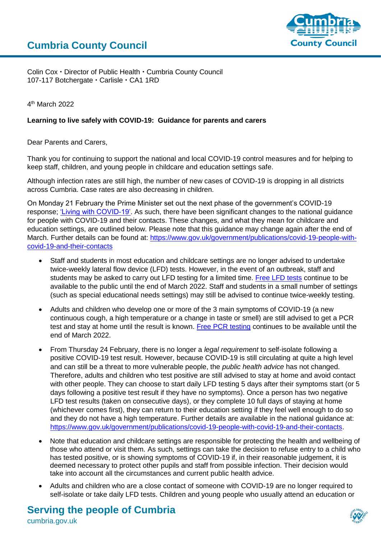

Colin Cox • Director of Public Health • Cumbria County Council 107-117 Botchergate · Carlisle · CA1 1RD

4 th March 2022

## **Learning to live safely with COVID-19: Guidance for parents and carers**

Dear Parents and Carers,

Thank you for continuing to support the national and local COVID-19 control measures and for helping to keep staff, children, and young people in childcare and education settings safe.

Although infection rates are still high, the number of new cases of COVID-19 is dropping in all districts across Cumbria. Case rates are also decreasing in children.

On Monday 21 February the Prime Minister set out the next phase of the government's COVID-19 response; ['Living with COVID-19'.](https://www.gov.uk/government/publications/covid-19-response-living-with-covid-19) As such, there have been significant changes to the national guidance for people with COVID-19 and their contacts. These changes, and what they mean for childcare and education settings, are outlined below. Please note that this guidance may change again after the end of March. Further details can be found at: [https://www.gov.uk/government/publications/covid-19-people-with](https://www.gov.uk/government/publications/covid-19-people-with-covid-19-and-their-contacts)[covid-19-and-their-contacts](https://www.gov.uk/government/publications/covid-19-people-with-covid-19-and-their-contacts)

- Staff and students in most education and childcare settings are no longer advised to undertake twice-weekly lateral flow device (LFD) tests. However, in the event of an outbreak, staff and students may be asked to carry out LFD testing for a limited time. [Free LFD tests](https://www.nhs.uk/conditions/coronavirus-covid-19/testing/regular-rapid-coronavirus-tests-if-you-do-not-have-symptoms/) continue to be available to the public until the end of March 2022. Staff and students in a small number of settings (such as special educational needs settings) may still be advised to continue twice-weekly testing.
- Adults and children who develop one or more of the 3 main symptoms of COVID-19 (a new continuous cough, a high temperature or a change in taste or smell) are still advised to get a PCR test and stay at home until the result is known. [Free PCR testing](https://www.nhs.uk/conditions/coronavirus-covid-19/testing/get-tested-for-coronavirus/) continues to be available until the end of March 2022.
- From Thursday 24 February, there is no longer a *legal requirement* to self-isolate following a positive COVID-19 test result. However, because COVID-19 is still circulating at quite a high level and can still be a threat to more vulnerable people, the *public health advice* has not changed. Therefore, adults and children who test positive are still advised to stay at home and avoid contact with other people. They can choose to start daily LFD testing 5 days after their symptoms start (or 5 days following a positive test result if they have no symptoms). Once a person has two negative LFD test results (taken on consecutive days), or they complete 10 full days of staying at home (whichever comes first), they can return to their education setting if they feel well enough to do so and they do not have a high temperature. Further details are available in the national guidance at: [https://www.gov.uk/government/publications/covid-19-people-with-covid-19-and-their-contacts.](https://www.gov.uk/government/publications/covid-19-people-with-covid-19-and-their-contacts)
- Note that education and childcare settings are responsible for protecting the health and wellbeing of those who attend or visit them. As such, settings can take the decision to refuse entry to a child who has tested positive, or is showing symptoms of COVID-19 if, in their reasonable judgement, it is deemed necessary to protect other pupils and staff from possible infection. Their decision would take into account all the circumstances and current public health advice.
- Adults and children who are a close contact of someone with COVID-19 are no longer required to self-isolate or take daily LFD tests. Children and young people who usually attend an education or

## **Serving the people of Cumbria**

cumbria.gov.uk